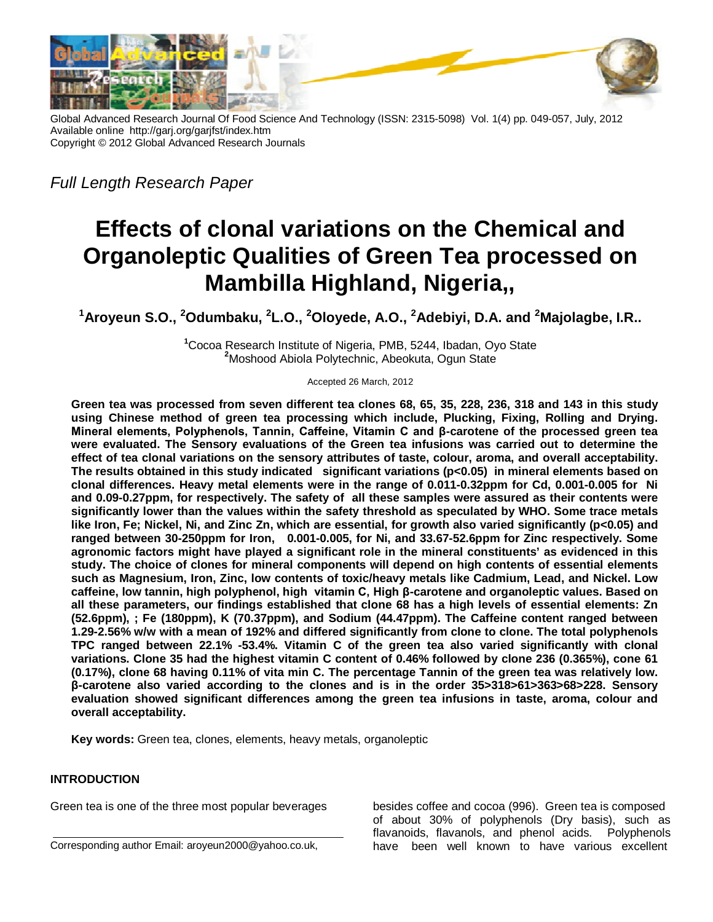

Global Advanced Research Journal Of Food Science And Technology (ISSN: 2315-5098) Vol. 1(4) pp. 049-057, July, 2012 Available online http://garj.org/garjfst/index.htm Copyright © 2012 Global Advanced Research Journals

*Full Length Research Paper*

# **Effects of clonal variations on the Chemical and Organoleptic Qualities of Green Tea processed on Mambilla Highland, Nigeria,,**

**<sup>1</sup>Aroyeun S.O., <sup>2</sup>Odumbaku, <sup>2</sup> L.O., <sup>2</sup>Oloyede, A.O., <sup>2</sup>Adebiyi, D.A. and <sup>2</sup>Majolagbe, I.R..**

**<sup>1</sup>**Cocoa Research Institute of Nigeria, PMB, 5244, Ibadan, Oyo State **<sup>2</sup>**Moshood Abiola Polytechnic, Abeokuta, Ogun State

Accepted 26 March, 2012

**Green tea was processed from seven different tea clones 68, 65, 35, 228, 236, 318 and 143 in this study using Chinese method of green tea processing which include, Plucking, Fixing, Rolling and Drying. Mineral elements, Polyphenols, Tannin, Caffeine, Vitamin C and β-carotene of the processed green tea were evaluated. The Sensory evaluations of the Green tea infusions was carried out to determine the effect of tea clonal variations on the sensory attributes of taste, colour, aroma, and overall acceptability. The results obtained in this study indicated significant variations (p<0.05) in mineral elements based on clonal differences. Heavy metal elements were in the range of 0.011-0.32ppm for Cd, 0.001-0.005 for Ni and 0.09-0.27ppm, for respectively. The safety of all these samples were assured as their contents were significantly lower than the values within the safety threshold as speculated by WHO. Some trace metals like Iron, Fe; Nickel, Ni, and Zinc Zn, which are essential, for growth also varied significantly (p<0.05) and ranged between 30-250ppm for Iron, 0.001-0.005, for Ni, and 33.67-52.6ppm for Zinc respectively. Some agronomic factors might have played a significant role in the mineral constituents' as evidenced in this study. The choice of clones for mineral components will depend on high contents of essential elements such as Magnesium, Iron, Zinc, low contents of toxic/heavy metals like Cadmium, Lead, and Nickel. Low caffeine, low tannin, high polyphenol, high vitamin C, High β-carotene and organoleptic values. Based on all these parameters, our findings established that clone 68 has a high levels of essential elements: Zn (52.6ppm), ; Fe (180ppm), K (70.37ppm), and Sodium (44.47ppm). The Caffeine content ranged between 1.29-2.56% w/w with a mean of 192% and differed significantly from clone to clone. The total polyphenols TPC ranged between 22.1% -53.4%. Vitamin C of the green tea also varied significantly with clonal variations. Clone 35 had the highest vitamin C content of 0.46% followed by clone 236 (0.365%), cone 61 (0.17%), clone 68 having 0.11% of vita min C. The percentage Tannin of the green tea was relatively low. β-carotene also varied according to the clones and is in the order 35>318>61>363>68>228. Sensory evaluation showed significant differences among the green tea infusions in taste, aroma, colour and overall acceptability.**

**Key words:** Green tea, clones, elements, heavy metals, organoleptic

## **INTRODUCTION**

Green tea is one of the three most popular beverages

Corresponding author Email: aroyeun2000@yahoo.co.uk,

besides coffee and cocoa (996). Green tea is composed of about 30% of polyphenols (Dry basis), such as flavanoids, flavanols, and phenol acids. Polyphenols have been well known to have various excellent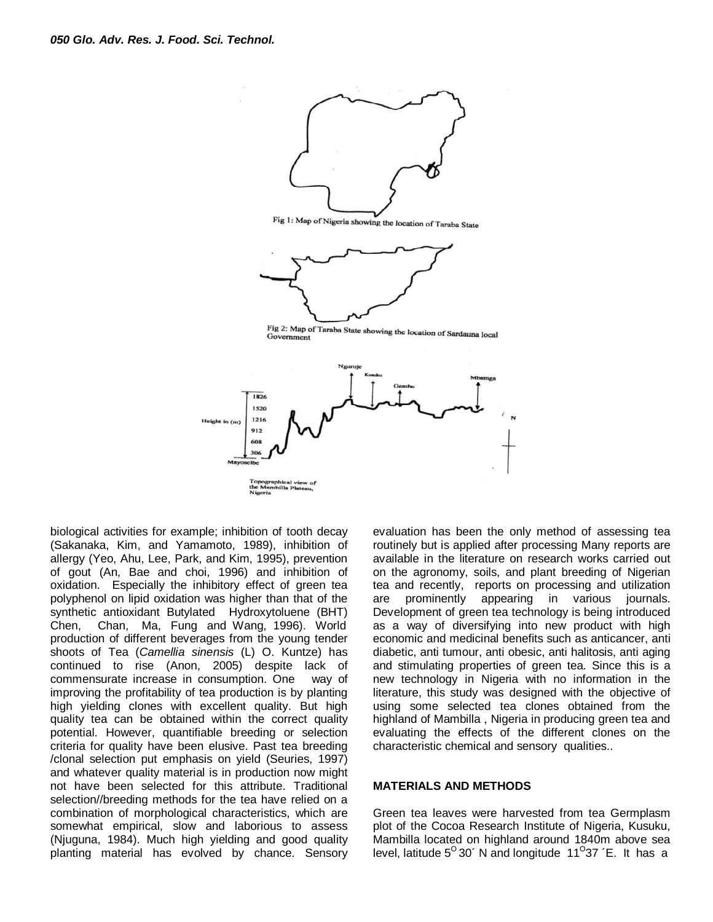

Fig 1: Map of Nigeria showing the location of Taraba State



Fig 2: Map of Taraba State showing the location of Sardauna local<br>Government Government



biological activities for example; inhibition of tooth decay (Sakanaka, Kim, and Yamamoto, 1989), inhibition of allergy (Yeo, Ahu, Lee, Park, and Kim, 1995), prevention of gout (An, Bae and choi, 1996) and inhibition of oxidation. Especially the inhibitory effect of green tea polyphenol on lipid oxidation was higher than that of the synthetic antioxidant Butylated Hydroxytoluene (BHT) Chen, Chan, Ma, Fung and Wang, 1996). World production of different beverages from the young tender shoots of Tea (*Camellia sinensis* (L) O. Kuntze) has continued to rise (Anon, 2005) despite lack of commensurate increase in consumption. One way of improving the profitability of tea production is by planting high yielding clones with excellent quality. But high quality tea can be obtained within the correct quality potential. However, quantifiable breeding or selection criteria for quality have been elusive. Past tea breeding /clonal selection put emphasis on yield (Seuries, 1997) and whatever quality material is in production now might not have been selected for this attribute. Traditional selection//breeding methods for the tea have relied on a combination of morphological characteristics, which are somewhat empirical, slow and laborious to assess (Njuguna, 1984). Much high yielding and good quality planting material has evolved by chance. Sensory evaluation has been the only method of assessing tea routinely but is applied after processing Many reports are available in the literature on research works carried out on the agronomy, soils, and plant breeding of Nigerian tea and recently, reports on processing and utilization are prominently appearing in various journals. Development of green tea technology is being introduced as a way of diversifying into new product with high economic and medicinal benefits such as anticancer, anti diabetic, anti tumour, anti obesic, anti halitosis, anti aging and stimulating properties of green tea. Since this is a new technology in Nigeria with no information in the literature, this study was designed with the objective of using some selected tea clones obtained from the highland of Mambilla , Nigeria in producing green tea and evaluating the effects of the different clones on the characteristic chemical and sensory qualities..

#### **MATERIALS AND METHODS**

Green tea leaves were harvested from tea Germplasm plot of the Cocoa Research Institute of Nigeria, Kusuku, Mambilla located on highland around 1840m above sea level, latitude  $5^{\circ}$  30´ N and longitude 11 $^{\circ}$ 37´E. It has a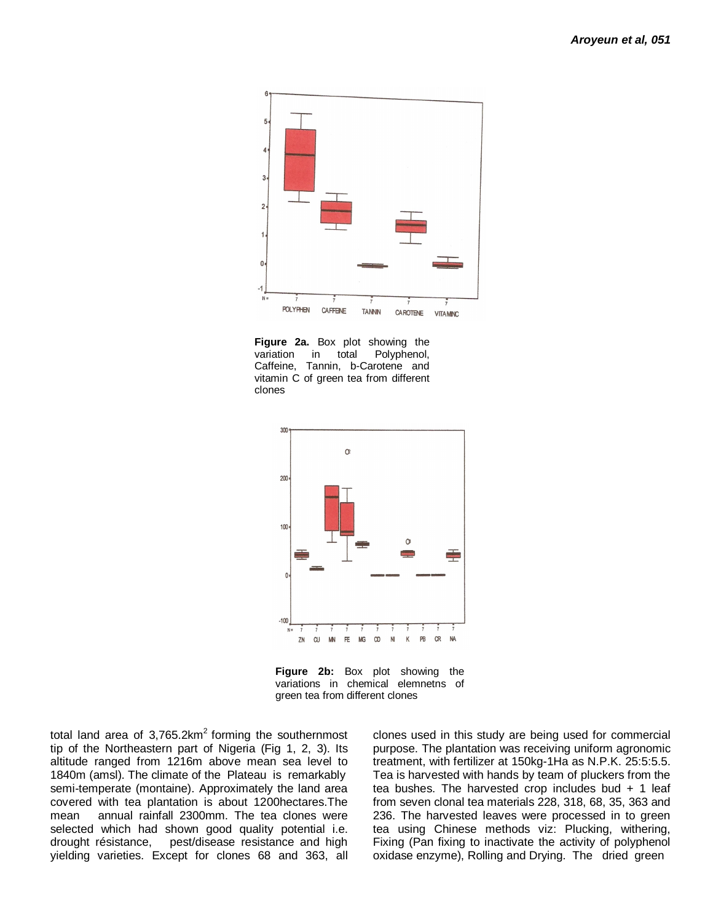

**Figure 2a.** Box plot showing the variation in total Polyphenol, Caffeine, Tannin, b-Carotene and vitamin C of green tea from different clones



**Figure 2b:** Box plot showing the variations in chemical elemnetns of green tea from different clones

total land area of  $3,765.2 \text{km}^2$  forming the southernmost tip of the Northeastern part of Nigeria (Fig 1, 2, 3). Its altitude ranged from 1216m above mean sea level to 1840m (amsl). The climate of the Plateau is remarkably semi-temperate (montaine). Approximately the land area covered with tea plantation is about 1200hectares.The mean annual rainfall 2300mm. The tea clones were selected which had shown good quality potential i.e. drought résistance, pest/disease resistance and high yielding varieties. Except for clones 68 and 363, all clones used in this study are being used for commercial purpose. The plantation was receiving uniform agronomic treatment, with fertilizer at 150kg-1Ha as N.P.K. 25:5:5.5. Tea is harvested with hands by team of pluckers from the tea bushes. The harvested crop includes bud + 1 leaf from seven clonal tea materials 228, 318, 68, 35, 363 and 236. The harvested leaves were processed in to green tea using Chinese methods viz: Plucking, withering, Fixing (Pan fixing to inactivate the activity of polyphenol oxidase enzyme), Rolling and Drying. The dried green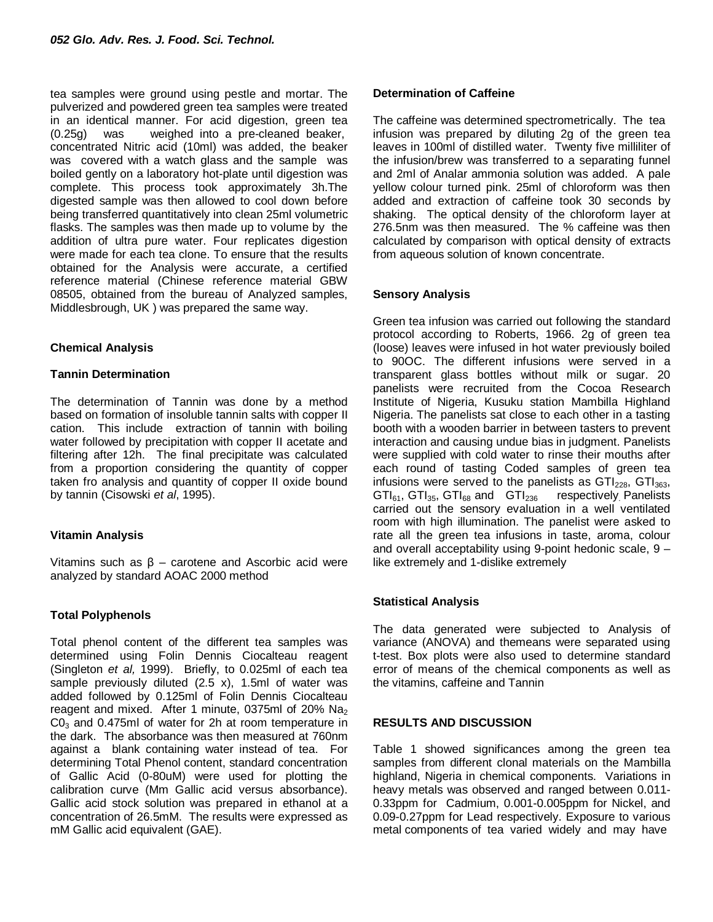tea samples were ground using pestle and mortar. The pulverized and powdered green tea samples were treated in an identical manner. For acid digestion, green tea (0.25g) was weighed into a pre-cleaned beaker, concentrated Nitric acid (10ml) was added, the beaker was covered with a watch glass and the sample was boiled gently on a laboratory hot-plate until digestion was complete. This process took approximately 3h.The digested sample was then allowed to cool down before being transferred quantitatively into clean 25ml volumetric flasks. The samples was then made up to volume by the addition of ultra pure water. Four replicates digestion were made for each tea clone. To ensure that the results obtained for the Analysis were accurate, a certified reference material (Chinese reference material GBW 08505, obtained from the bureau of Analyzed samples, Middlesbrough, UK ) was prepared the same way.

## **Chemical Analysis**

## **Tannin Determination**

The determination of Tannin was done by a method based on formation of insoluble tannin salts with copper II cation. This include extraction of tannin with boiling water followed by precipitation with copper II acetate and filtering after 12h. The final precipitate was calculated from a proportion considering the quantity of copper taken fro analysis and quantity of copper II oxide bound by tannin (Cisowski *et al*, 1995).

## **Vitamin Analysis**

Vitamins such as  $β$  – carotene and Ascorbic acid were analyzed by standard AOAC 2000 method

## **Total Polyphenols**

Total phenol content of the different tea samples was determined using Folin Dennis Ciocalteau reagent (Singleton *et al,* 1999). Briefly, to 0.025ml of each tea sample previously diluted (2.5 x), 1.5ml of water was added followed by 0.125ml of Folin Dennis Ciocalteau reagent and mixed. After 1 minute, 0375ml of 20% Na<sub>2</sub>  $CO<sub>3</sub>$  and 0.475ml of water for 2h at room temperature in the dark. The absorbance was then measured at 760nm against a blank containing water instead of tea. For determining Total Phenol content, standard concentration of Gallic Acid (0-80uM) were used for plotting the calibration curve (Mm Gallic acid versus absorbance). Gallic acid stock solution was prepared in ethanol at a concentration of 26.5mM. The results were expressed as mM Gallic acid equivalent (GAE).

## **Determination of Caffeine**

The caffeine was determined spectrometrically. The tea infusion was prepared by diluting 2g of the green tea leaves in 100ml of distilled water. Twenty five milliliter of the infusion/brew was transferred to a separating funnel and 2ml of Analar ammonia solution was added. A pale yellow colour turned pink. 25ml of chloroform was then added and extraction of caffeine took 30 seconds by shaking. The optical density of the chloroform layer at 276.5nm was then measured. The % caffeine was then calculated by comparison with optical density of extracts from aqueous solution of known concentrate.

## **Sensory Analysis**

Green tea infusion was carried out following the standard protocol according to Roberts, 1966. 2g of green tea (loose) leaves were infused in hot water previously boiled to 90OC. The different infusions were served in a transparent glass bottles without milk or sugar. 20 panelists were recruited from the Cocoa Research Institute of Nigeria, Kusuku station Mambilla Highland Nigeria. The panelists sat close to each other in a tasting booth with a wooden barrier in between tasters to prevent interaction and causing undue bias in judgment. Panelists were supplied with cold water to rinse their mouths after each round of tasting Coded samples of green tea infusions were served to the panelists as  $GTI_{228}$ ,  $GTI_{363}$ ,  $GTI_{45}$ ,  $GTI_{86}$  and  $GTI_{246}$  respectively Panelists  $GTI_{61}$ ,  $GTI_{35}$ ,  $GTI_{68}$  and  $GTI_{236}$ carried out the sensory evaluation in a well ventilated room with high illumination. The panelist were asked to rate all the green tea infusions in taste, aroma, colour and overall acceptability using 9-point hedonic scale, 9 – like extremely and 1-dislike extremely

## **Statistical Analysis**

The data generated were subjected to Analysis of variance (ANOVA) and themeans were separated using t-test. Box plots were also used to determine standard error of means of the chemical components as well as the vitamins, caffeine and Tannin

## **RESULTS AND DISCUSSION**

Table 1 showed significances among the green tea samples from different clonal materials on the Mambilla highland, Nigeria in chemical components. Variations in heavy metals was observed and ranged between 0.011- 0.33ppm for Cadmium, 0.001-0.005ppm for Nickel, and 0.09-0.27ppm for Lead respectively. Exposure to various metal components of tea varied widely and may have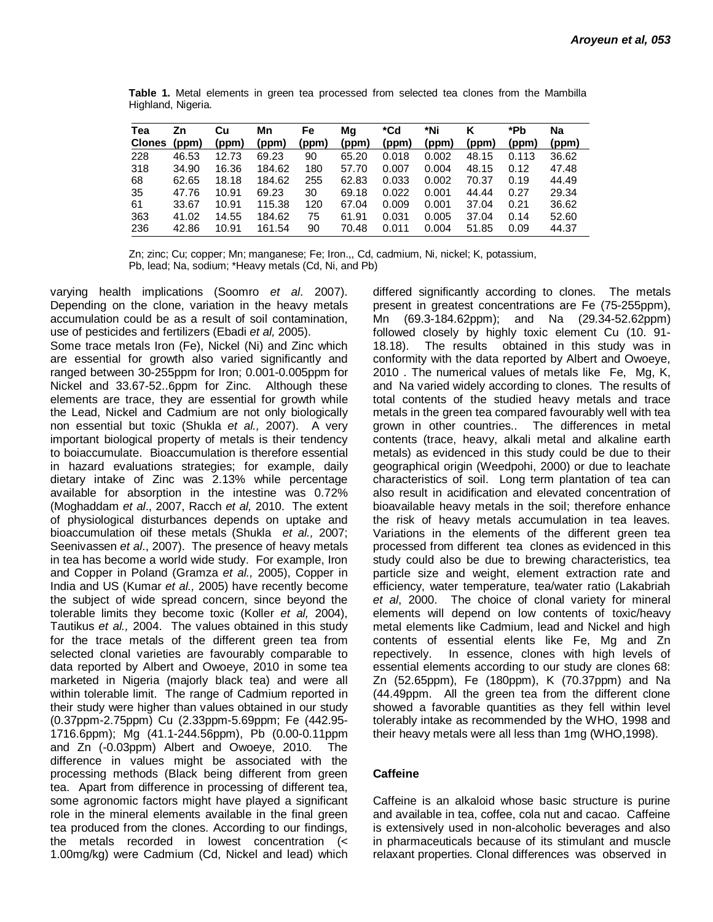| Tea<br><b>Clones</b> | Zn<br>(ppm) | Cu<br>(ppm) | Mn<br>(ppm) | Fe<br>(ppm) | Ma<br>(ppm) | *Cd<br>(ppm) | *Ni<br>(ppm) | (ppm) | *Pb<br>(ppm) | Na<br>(ppm) |
|----------------------|-------------|-------------|-------------|-------------|-------------|--------------|--------------|-------|--------------|-------------|
| 228                  | 46.53       | 12.73       | 69.23       | 90          | 65.20       | 0.018        | 0.002        | 48.15 | 0.113        | 36.62       |
| 318                  | 34.90       | 16.36       | 184.62      | 180         | 57.70       | 0.007        | 0.004        | 48.15 | 0.12         | 47.48       |
| 68                   | 62.65       | 18.18       | 184.62      | 255         | 62.83       | 0.033        | 0.002        | 70.37 | 0.19         | 44.49       |
| 35                   | 47.76       | 10.91       | 69.23       | 30          | 69.18       | 0.022        | 0.001        | 44.44 | 0.27         | 29.34       |
| 61                   | 33.67       | 10.91       | 115.38      | 120         | 67.04       | 0.009        | 0.001        | 37.04 | 0.21         | 36.62       |
| 363                  | 41.02       | 14.55       | 184.62      | 75          | 61.91       | 0.031        | 0.005        | 37.04 | 0.14         | 52.60       |
| 236                  | 42.86       | 10.91       | 161.54      | 90          | 70.48       | 0.011        | 0.004        | 51.85 | 0.09         | 44.37       |

**Table 1.** Metal elements in green tea processed from selected tea clones from the Mambilla Highland, Nigeria.

Zn; zinc; Cu; copper; Mn; manganese; Fe; Iron.,, Cd, cadmium, Ni, nickel; K, potassium, Pb, lead; Na, sodium; \*Heavy metals (Cd, Ni, and Pb)

varying health implications (Soomro *et al*. 2007). Depending on the clone, variation in the heavy metals accumulation could be as a result of soil contamination, use of pesticides and fertilizers (Ebadi *et al,* 2005).

Some trace metals Iron (Fe), Nickel (Ni) and Zinc which are essential for growth also varied significantly and ranged between 30-255ppm for Iron; 0.001-0.005ppm for Nickel and 33.67-52..6ppm for Zinc. Although these elements are trace, they are essential for growth while the Lead, Nickel and Cadmium are not only biologically non essential but toxic (Shukla *et al.,* 2007). A very important biological property of metals is their tendency to boiaccumulate. Bioaccumulation is therefore essential in hazard evaluations strategies; for example, daily dietary intake of Zinc was 2.13% while percentage available for absorption in the intestine was 0.72% (Moghaddam *et al*., 2007, Racch *et al,* 2010. The extent of physiological disturbances depends on uptake and bioaccumulation oif these metals (Shukla *et al.,* 2007; Seenivassen *et al*., 2007). The presence of heavy metals in tea has become a world wide study. For example, Iron and Copper in Poland (Gramza *et al.,* 2005), Copper in India and US (Kumar *et al.,* 2005) have recently become the subject of wide spread concern, since beyond the tolerable limits they become toxic (Koller *et al,* 2004), Tautikus *et al.,* 2004. The values obtained in this study for the trace metals of the different green tea from selected clonal varieties are favourably comparable to data reported by Albert and Owoeye, 2010 in some tea marketed in Nigeria (majorly black tea) and were all within tolerable limit. The range of Cadmium reported in their study were higher than values obtained in our study (0.37ppm-2.75ppm) Cu (2.33ppm-5.69ppm; Fe (442.95- 1716.6ppm); Mg (41.1-244.56ppm), Pb (0.00-0.11ppm and Zn (-0.03ppm) Albert and Owoeye, 2010. The difference in values might be associated with the processing methods (Black being different from green tea. Apart from difference in processing of different tea, some agronomic factors might have played a significant role in the mineral elements available in the final green tea produced from the clones. According to our findings, the metals recorded in lowest concentration (< 1.00mg/kg) were Cadmium (Cd, Nickel and lead) which

differed significantly according to clones. The metals present in greatest concentrations are Fe (75-255ppm), Mn (69.3-184.62ppm); and Na (29.34-52.62ppm) followed closely by highly toxic element Cu (10. 91- 18.18). The results obtained in this study was in conformity with the data reported by Albert and Owoeye, 2010 . The numerical values of metals like Fe, Mg, K, and Na varied widely according to clones. The results of total contents of the studied heavy metals and trace metals in the green tea compared favourably well with tea grown in other countries.. The differences in metal contents (trace, heavy, alkali metal and alkaline earth metals) as evidenced in this study could be due to their geographical origin (Weedpohi, 2000) or due to leachate characteristics of soil. Long term plantation of tea can also result in acidification and elevated concentration of bioavailable heavy metals in the soil; therefore enhance the risk of heavy metals accumulation in tea leaves. Variations in the elements of the different green tea processed from different tea clones as evidenced in this study could also be due to brewing characteristics, tea particle size and weight, element extraction rate and efficiency, water temperature, tea/water ratio (Lakabriah *et al*, 2000. The choice of clonal variety for mineral elements will depend on low contents of toxic/heavy metal elements like Cadmium, lead and Nickel and high contents of essential elents like Fe, Mg and Zn repectively. In essence, clones with high levels of essential elements according to our study are clones 68: Zn (52.65ppm), Fe (180ppm), K (70.37ppm) and Na (44.49ppm. All the green tea from the different clone showed a favorable quantities as they fell within level tolerably intake as recommended by the WHO, 1998 and their heavy metals were all less than 1mg (WHO,1998).

## **Caffeine**

Caffeine is an alkaloid whose basic structure is purine and available in tea, coffee, cola nut and cacao. Caffeine is extensively used in non-alcoholic beverages and also in pharmaceuticals because of its stimulant and muscle relaxant properties. Clonal differences was observed in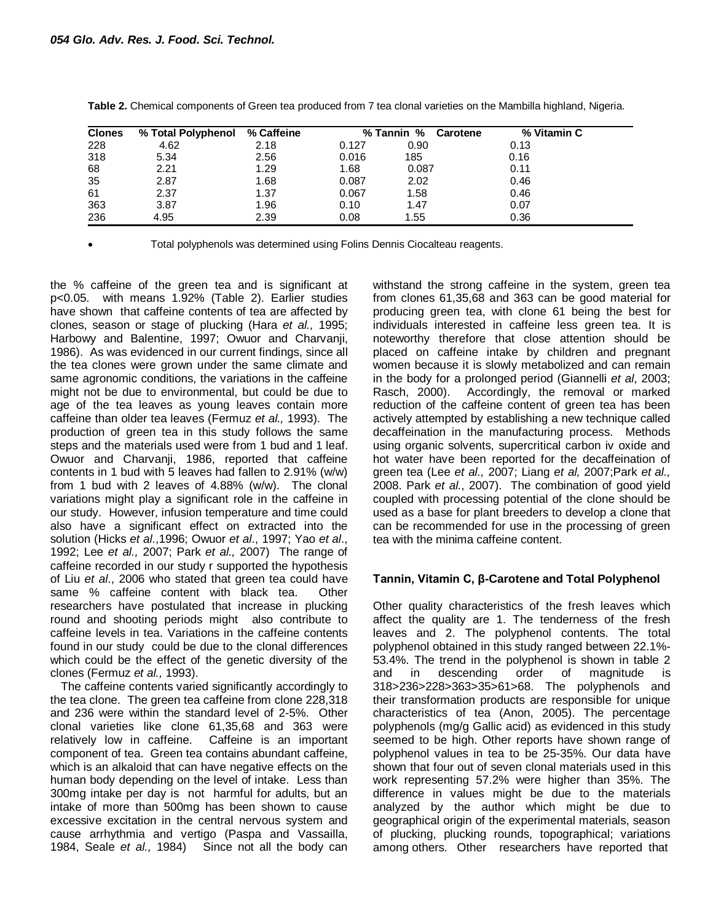| <b>Clones</b> | % Total Polyphenol | % Caffeine |       | % Tannin %<br><b>Carotene</b> | % Vitamin C |  |
|---------------|--------------------|------------|-------|-------------------------------|-------------|--|
| 228           | 4.62               | 2.18       | 0.127 | 0.90                          | 0.13        |  |
| 318           | 5.34               | 2.56       | 0.016 | 185                           | 0.16        |  |
| 68            | 2.21               | 1.29       | 1.68  | 0.087                         | 0.11        |  |
| 35            | 2.87               | 1.68       | 0.087 | 2.02                          | 0.46        |  |
| 61            | 2.37               | 1.37       | 0.067 | 1.58                          | 0.46        |  |
| 363           | 3.87               | 1.96       | 0.10  | 1.47                          | 0.07        |  |
| 236           | 4.95               | 2.39       | 0.08  | 1.55                          | 0.36        |  |

**Table 2.** Chemical components of Green tea produced from 7 tea clonal varieties on the Mambilla highland, Nigeria.

Total polyphenols was determined using Folins Dennis Ciocalteau reagents.

the % caffeine of the green tea and is significant at p<0.05. with means 1.92% (Table 2). Earlier studies have shown that caffeine contents of tea are affected by clones, season or stage of plucking (Hara *et al.,* 1995; Harbowy and Balentine, 1997; Owuor and Charvanji, 1986). As was evidenced in our current findings, since all the tea clones were grown under the same climate and same agronomic conditions, the variations in the caffeine might not be due to environmental, but could be due to age of the tea leaves as young leaves contain more caffeine than older tea leaves (Fermuz *et al.,* 1993). The production of green tea in this study follows the same steps and the materials used were from 1 bud and 1 leaf. Owuor and Charvanji, 1986, reported that caffeine contents in 1 bud with 5 leaves had fallen to 2.91% (w/w) from 1 bud with 2 leaves of 4.88% (w/w). The clonal variations might play a significant role in the caffeine in our study. However, infusion temperature and time could also have a significant effect on extracted into the solution (Hicks *et al*.,1996; Owuor *et al*., 1997; Yao *et al*., 1992; Lee *et al.,* 2007; Park *et al.,* 2007) The range of caffeine recorded in our study r supported the hypothesis of Liu *et al*., 2006 who stated that green tea could have same % caffeine content with black tea. Other researchers have postulated that increase in plucking round and shooting periods might also contribute to caffeine levels in tea. Variations in the caffeine contents found in our study could be due to the clonal differences which could be the effect of the genetic diversity of the clones (Fermuz *et al.,* 1993).

The caffeine contents varied significantly accordingly to the tea clone. The green tea caffeine from clone 228,318 and 236 were within the standard level of 2-5%. Other clonal varieties like clone 61,35,68 and 363 were relatively low in caffeine. Caffeine is an important component of tea. Green tea contains abundant caffeine, which is an alkaloid that can have negative effects on the human body depending on the level of intake. Less than 300mg intake per day is not harmful for adults, but an intake of more than 500mg has been shown to cause excessive excitation in the central nervous system and cause arrhythmia and vertigo (Paspa and Vassailla, 1984, Seale *et al.,* 1984) Since not all the body can withstand the strong caffeine in the system, green tea from clones 61,35,68 and 363 can be good material for producing green tea, with clone 61 being the best for individuals interested in caffeine less green tea. It is noteworthy therefore that close attention should be placed on caffeine intake by children and pregnant women because it is slowly metabolized and can remain in the body for a prolonged period (Giannelli *et al*, 2003; Rasch, 2000). Accordingly, the removal or marked reduction of the caffeine content of green tea has been actively attempted by establishing a new technique called decaffeination in the manufacturing process. Methods using organic solvents, supercritical carbon iv oxide and hot water have been reported for the decaffeination of green tea (Lee *et al.,* 2007; Liang *et al,* 2007;Park *et al.,* 2008. Park *et al.*, 2007). The combination of good yield coupled with processing potential of the clone should be used as a base for plant breeders to develop a clone that can be recommended for use in the processing of green tea with the minima caffeine content.

## **Tannin, Vitamin C, β-Carotene and Total Polyphenol**

Other quality characteristics of the fresh leaves which affect the quality are 1. The tenderness of the fresh leaves and 2. The polyphenol contents. The total polyphenol obtained in this study ranged between 22.1%- 53.4%. The trend in the polyphenol is shown in table 2 and in descending order of magnitude is 318>236>228>363>35>61>68. The polyphenols and their transformation products are responsible for unique characteristics of tea (Anon, 2005). The percentage polyphenols (mg/g Gallic acid) as evidenced in this study seemed to be high. Other reports have shown range of polyphenol values in tea to be 25-35%. Our data have shown that four out of seven clonal materials used in this work representing 57.2% were higher than 35%. The difference in values might be due to the materials analyzed by the author which might be due to geographical origin of the experimental materials, season of plucking, plucking rounds, topographical; variations among others. Other researchers have reported that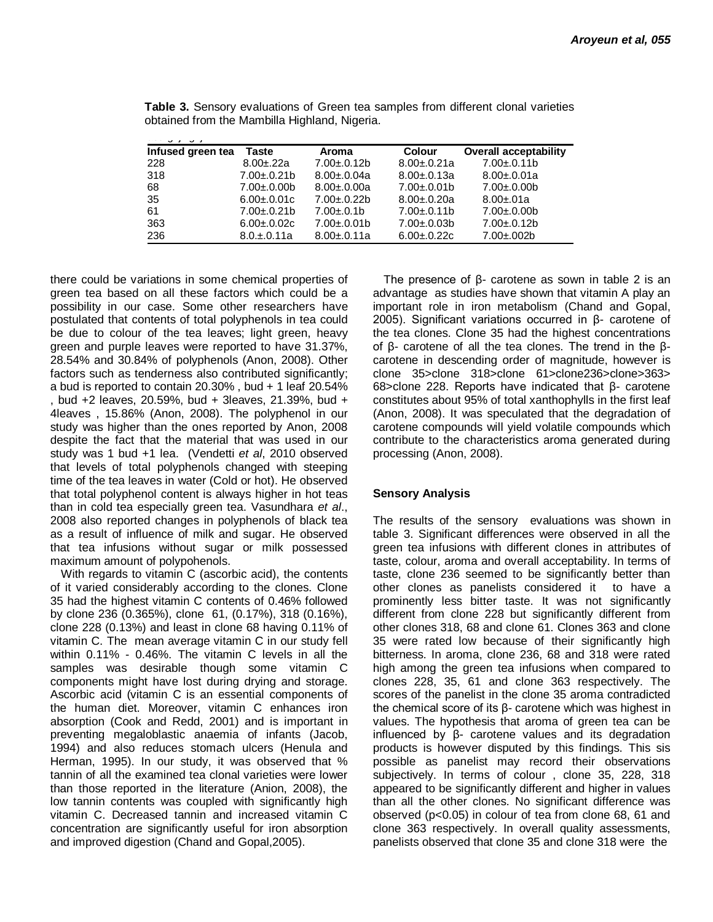| ر ب               |                   |                   |                   |                              |  |  |  |
|-------------------|-------------------|-------------------|-------------------|------------------------------|--|--|--|
| Infused green tea | Taste             | Aroma             | <b>Colour</b>     | <b>Overall acceptability</b> |  |  |  |
| 228               | $8.00 \pm 22a$    | $7.00 \pm 0.12$ b | $8.00 \pm 0.21a$  | $7.00 \pm 0.11$ b            |  |  |  |
| 318               | $7.00 \pm 0.21$   | $8.00 \pm 0.04a$  | $8.00 \pm 0.13a$  | $8.00 \pm 0.01a$             |  |  |  |
| 68                | $7.00 \pm 0.00$   | $8.00 \pm 0.00a$  | $7.00 \pm 0.01$   | $7.00 \pm 0.00$              |  |  |  |
| 35                | $6.00 \pm 0.01$ c | $7.00 \pm 0.22$ b | $8.00 \pm 0.20a$  | $8.00 + 01a$                 |  |  |  |
| 61                | $7.00 \pm 0.21$ b | $7.00 \pm 0.1$ b  | $7.00 \pm 0.11$ b | $7.00 \pm 0.00$              |  |  |  |
| 363               | $6.00 \pm 0.02c$  | $7.00 \pm 0.01$   | $7.00 \pm 0.03 b$ | $7.00 \pm 0.12$ b            |  |  |  |
| 236               | $8.0.+0.11a$      | $8.00 \pm 0.11a$  | $6.00 \pm 0.22c$  | $7.00 \pm 0.002$             |  |  |  |

**Table 3.** Sensory evaluations of Green tea samples from different clonal varieties obtained from the Mambilla Highland, Nigeria.

there could be variations in some chemical properties of green tea based on all these factors which could be a possibility in our case. Some other researchers have postulated that contents of total polyphenols in tea could be due to colour of the tea leaves; light green, heavy green and purple leaves were reported to have 31.37%, 28.54% and 30.84% of polyphenols (Anon, 2008). Other factors such as tenderness also contributed significantly; a bud is reported to contain 20.30% , bud + 1 leaf 20.54% , bud +2 leaves, 20.59%, bud + 3leaves, 21.39%, bud + 4leaves , 15.86% (Anon, 2008). The polyphenol in our study was higher than the ones reported by Anon, 2008 despite the fact that the material that was used in our study was 1 bud +1 lea. (Vendetti *et al*, 2010 observed that levels of total polyphenols changed with steeping time of the tea leaves in water (Cold or hot). He observed that total polyphenol content is always higher in hot teas than in cold tea especially green tea. Vasundhara *et al*., 2008 also reported changes in polyphenols of black tea as a result of influence of milk and sugar. He observed that tea infusions without sugar or milk possessed maximum amount of polypohenols.

With regards to vitamin C (ascorbic acid), the contents of it varied considerably according to the clones. Clone 35 had the highest vitamin C contents of 0.46% followed by clone 236 (0.365%), clone 61, (0.17%), 318 (0.16%), clone 228 (0.13%) and least in clone 68 having 0.11% of vitamin C. The mean average vitamin C in our study fell within 0.11% - 0.46%. The vitamin C levels in all the samples was desirable though some vitamin C components might have lost during drying and storage. Ascorbic acid (vitamin C is an essential components of the human diet. Moreover, vitamin C enhances iron absorption (Cook and Redd, 2001) and is important in preventing megaloblastic anaemia of infants (Jacob, 1994) and also reduces stomach ulcers (Henula and Herman, 1995). In our study, it was observed that % tannin of all the examined tea clonal varieties were lower than those reported in the literature (Anion, 2008), the low tannin contents was coupled with significantly high vitamin C. Decreased tannin and increased vitamin C concentration are significantly useful for iron absorption and improved digestion (Chand and Gopal,2005).

The presence of  $β$ - carotene as sown in table 2 is an advantage as studies have shown that vitamin A play an important role in iron metabolism (Chand and Gopal, 2005). Significant variations occurred in β- carotene of the tea clones. Clone 35 had the highest concentrations of β- carotene of all the tea clones. The trend in the βcarotene in descending order of magnitude, however is clone 35>clone 318>clone 61>clone236>clone>363> 68>clone 228. Reports have indicated that β- carotene constitutes about 95% of total xanthophylls in the first leaf (Anon, 2008). It was speculated that the degradation of carotene compounds will yield volatile compounds which contribute to the characteristics aroma generated during processing (Anon, 2008).

## **Sensory Analysis**

The results of the sensory evaluations was shown in table 3. Significant differences were observed in all the green tea infusions with different clones in attributes of taste, colour, aroma and overall acceptability. In terms of taste, clone 236 seemed to be significantly better than other clones as panelists considered it to have a prominently less bitter taste. It was not significantly different from clone 228 but significantly different from other clones 318, 68 and clone 61. Clones 363 and clone 35 were rated low because of their significantly high bitterness. In aroma, clone 236, 68 and 318 were rated high among the green tea infusions when compared to clones 228, 35, 61 and clone 363 respectively. The scores of the panelist in the clone 35 aroma contradicted the chemical score of its β- carotene which was highest in values. The hypothesis that aroma of green tea can be influenced by β- carotene values and its degradation products is however disputed by this findings. This sis possible as panelist may record their observations subjectively. In terms of colour , clone 35, 228, 318 appeared to be significantly different and higher in values than all the other clones. No significant difference was observed (p<0.05) in colour of tea from clone 68, 61 and clone 363 respectively. In overall quality assessments, panelists observed that clone 35 and clone 318 were the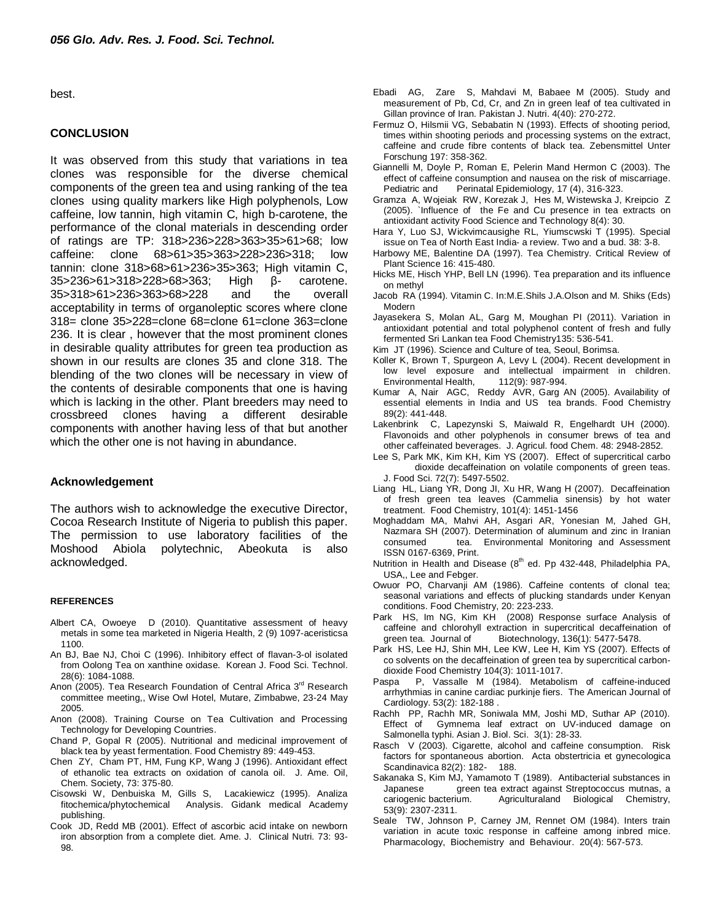best.

#### **CONCLUSION**

It was observed from this study that variations in tea clones was responsible for the diverse chemical components of the green tea and using ranking of the tea clones using quality markers like High polyphenols, Low caffeine, low tannin, high vitamin C, high b-carotene, the performance of the clonal materials in descending order of ratings are TP: 318>236>228>363>35>61>68; low caffeine: clone 68>61>35>363>228>236>318; low tannin: clone 318>68>61>236>35>363; High vitamin C, 35>236>61>318>228>68>363; High β- carotene. 35>318>61>236>363>68>228 and the overall acceptability in terms of organoleptic scores where clone 318= clone 35>228=clone 68=clone 61=clone 363=clone 236. It is clear , however that the most prominent clones in desirable quality attributes for green tea production as shown in our results are clones 35 and clone 318. The blending of the two clones will be necessary in view of the contents of desirable components that one is having which is lacking in the other. Plant breeders may need to crossbreed clones having a different desirable components with another having less of that but another which the other one is not having in abundance.

## **Acknowledgement**

The authors wish to acknowledge the executive Director, Cocoa Research Institute of Nigeria to publish this paper. The permission to use laboratory facilities of the Moshood Abiola polytechnic, Abeokuta is also acknowledged.

#### **REFERENCES**

- Albert CA, Owoeye D (2010). Quantitative assessment of heavy metals in some tea marketed in Nigeria Health, 2 (9) 1097-aceristicsa 1100.
- An BJ, Bae NJ, Choi C (1996). Inhibitory effect of flavan-3-ol isolated from Oolong Tea on xanthine oxidase. Korean J. Food Sci. Technol. 28(6): 1084-1088.
- Anon (2005). Tea Research Foundation of Central Africa 3<sup>rd</sup> Research committee meeting,, Wise Owl Hotel, Mutare, Zimbabwe, 23-24 May 2005.
- Anon (2008). Training Course on Tea Cultivation and Processing Technology for Developing Countries.
- Chand P, Gopal R (2005). Nutritional and medicinal improvement of black tea by yeast fermentation. Food Chemistry 89: 449-453.
- Chen ZY, Cham PT, HM, Fung KP, Wang J (1996). Antioxidant effect of ethanolic tea extracts on oxidation of canola oil. J. Ame. Oil, Chem. Society, 73: 375-80.
- Cisowski W, Denbuiska M, Gills S, Lacakiewicz (1995). Analiza fitochemica/phytochemical Analysis. Gidank medical Academy publishing.
- Cook JD, Redd MB (2001). Effect of ascorbic acid intake on newborn iron absorption from a complete diet. Ame. J. Clinical Nutri. 73: 93- 98.
- Ebadi AG, Zare S, Mahdavi M, Babaee M (2005). Study and measurement of Pb, Cd, Cr, and Zn in green leaf of tea cultivated in Gillan province of Iran. Pakistan J. Nutri. 4(40): 270-272.
- Fermuz O, Hilsmii VG, Sebabatin N (1993). Effects of shooting period, times within shooting periods and processing systems on the extract, caffeine and crude fibre contents of black tea. Zebensmittel Unter Forschung 197: 358-362.
- Giannelli M, Doyle P, Roman E, Pelerin Mand Hermon C (2003). The effect of caffeine consumption and nausea on the risk of miscarriage. Pediatric and Perinatal Epidemiology, 17 (4), 316-323.
- Gramza A, Wojeiak RW, Korezak J, Hes M, Wistewska J, Kreipcio Z (2005). `Influence of the Fe and Cu presence in tea extracts on antioxidant activity Food Science and Technology 8(4): 30.
- Hara Y, Luo SJ, Wickvimcausighe RL, Yiumscwski T (1995). Special issue on Tea of North East India- a review. Two and a bud. 38: 3-8.
- Harbowy ME, Balentine DA (1997). Tea Chemistry. Critical Review of Plant Science 16: 415-480.
- Hicks ME, Hisch YHP, Bell LN (1996). Tea preparation and its influence on methyl
- Jacob RA (1994). Vitamin C. In:M.E.Shils J.A.Olson and M. Shiks (Eds) Modern
- Jayasekera S, Molan AL, Garg M, Moughan PI (2011). Variation in antioxidant potential and total polyphenol content of fresh and fully fermented Sri Lankan tea Food Chemistry135: 536-541.
- Kim JT (1996). Science and Culture of tea, Seoul, Borimsa.
- Koller K, Brown T, Spurgeon A, Levy L (2004). Recent development in low level exposure and intellectual impairment in children. Environmental Health, 112(9): 987-994.
- Kumar A, Nair AGC, Reddy AVR, Garg AN (2005). Availability of essential elements in India and US tea brands. Food Chemistry 89(2): 441-448.
- Lakenbrink C, Lapezynski S, Maiwald R, Engelhardt UH (2000). Flavonoids and other polyphenols in consumer brews of tea and other caffeinated beverages. J. Agricul. food Chem. 48: 2948-2852.
- Lee S, Park MK, Kim KH, Kim YS (2007). Effect of supercritical carbo dioxide decaffeination on volatile components of green teas. J. Food Sci. 72(7): 5497-5502.
- Liang HL, Liang YR, Dong JI, Xu HR, Wang H (2007). Decaffeination of fresh green tea leaves (Cammelia sinensis) by hot water treatment. Food Chemistry, 101(4): 1451-1456
- Moghaddam MA, Mahvi AH, Asgari AR, Yonesian M, Jahed GH, Nazmara SH (2007). Determination of aluminum and zinc in Iranian consumed tea. Environmental Monitoring and Assessment ISSN 0167-6369, Print.
- Nutrition in Health and Disease  $(8<sup>th</sup>$  ed. Pp 432-448, Philadelphia PA, USA,, Lee and Febger.
- Owuor PO, Charvanji AM (1986). Caffeine contents of clonal tea; seasonal variations and effects of plucking standards under Kenyan conditions. Food Chemistry, 20: 223-233.
- Park HS, Im NG, Kim KH (2008) Response surface Analysis of caffeine and chlorohyll extraction in supercritical decaffeination of green tea. Journal of Biotechnology, 136(1): 5477-5478.
- Park HS, Lee HJ, Shin MH, Lee KW, Lee H, Kim YS (2007). Effects of co solvents on the decaffeination of green tea by supercritical carbondioxide Food Chemistry 104(3): 1011-1017.
- Paspa P, Vassalle M (1984). Metabolism of caffeine-induced arrhythmias in canine cardiac purkinje fiers. The American Journal of Cardiology. 53(2): 182-188 .
- Rachh PP, Rachh MR, Soniwala MM, Joshi MD, Suthar AP (2010). Effect of Gymnema leaf extract on UV-induced damage on Salmonella typhi. Asian J. Biol. Sci. 3(1): 28-33.
- Rasch V (2003). Cigarette, alcohol and caffeine consumption. Risk factors for spontaneous abortion. Acta obstertricia et gynecologica Scandinavica 82(2): 182- 188.
- Sakanaka S, Kim MJ, Yamamoto T (1989). Antibacterial substances in Japanese green tea extract against Streptococcus mutnas, a<br>cariogenic bacterium. Agriculturaland Biological Chemistry, Agriculturaland Biological Chemistry, 53(9): 2307-2311.
- Seale TW, Johnson P, Carney JM, Rennet OM (1984). Inters train variation in acute toxic response in caffeine among inbred mice. Pharmacology, Biochemistry and Behaviour. 20(4): 567-573.